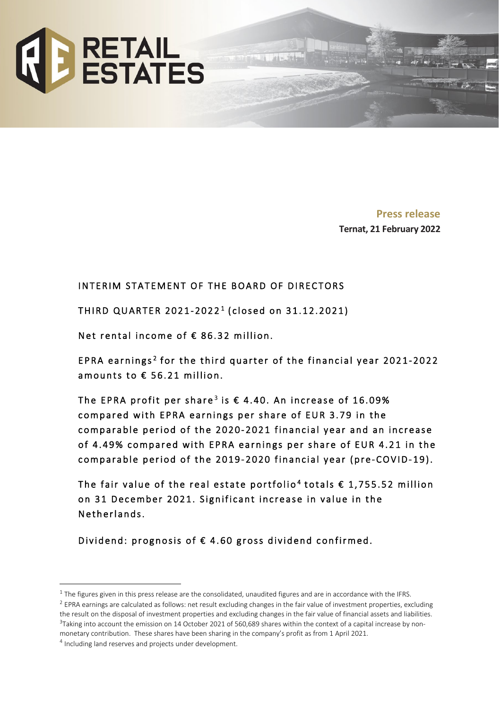

**Press release Ternat, 21 February 2022**

# INTERIM STATEMENT OF THE BOARD OF DIRECTORS

THIRD QUARTER 2021-2022<sup>1</sup> (closed on 31.12.2021)

Net rental income of € 86.32 million.

EPRA earnings<sup>[2](#page-0-1)</sup> for the third quarter of the financial year 2021-2022 amounts to € 56.21 million.

The EPRA profit per share<sup>[3](#page-0-2)</sup> is  $\epsilon$  4.40. An increase of 16.09% compared with EPRA earnings per share of EUR 3.79 in the comparable period of the 2020- 2021 financial year and an increase of 4.49% compared with EPRA earnings per share of EUR 4.21 in the comparable period of the 2019-2020 financial year (pre-COVID-19).

The fair value of the real estate portfolio<sup>[4](#page-0-3)</sup> totals  $\epsilon$  1,755.52 million on 31 December 2021. Significant increase in value in the Netherlands.

Dividend: prognosis of € 4.60 gross dividend confirmed.

<span id="page-0-0"></span> $1$  The figures given in this press release are the consolidated, unaudited figures and are in accordance with the IFRS.

<span id="page-0-1"></span> $2$  EPRA earnings are calculated as follows: net result excluding changes in the fair value of investment properties, excluding the result on the disposal of investment properties and excluding changes in the fair value of financial assets and liabilities.  $3$ Taking into account the emission on 14 October 2021 of 560,689 shares within the context of a capital increase by nonmonetary contribution. These shares have been sharing in the company's profit as from 1 April 2021.

<span id="page-0-2"></span>

<span id="page-0-3"></span><sup>4</sup> Including land reserves and projects under development.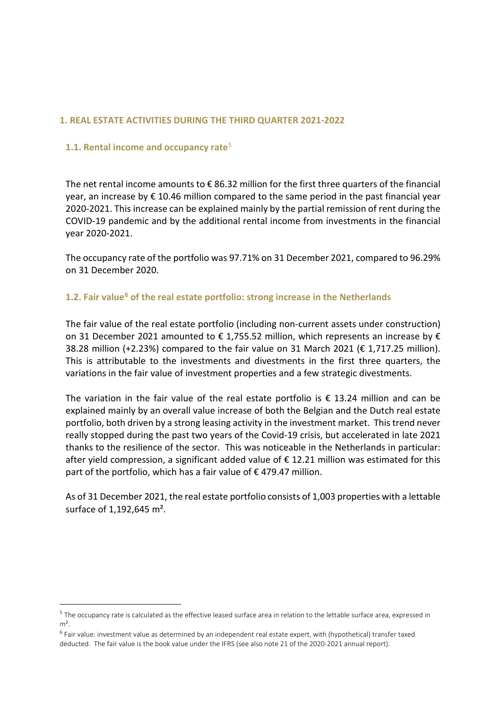### **1. REAL ESTATE ACTIVITIES DURING THE THIRD QUARTER 2021-2022**

### **1.1. Rental income and occupancy rate**[5](#page-1-0)

The net rental income amounts to  $\epsilon$  86.32 million for the first three quarters of the financial year, an increase by € 10.46 million compared to the same period in the past financial year 2020-2021. This increase can be explained mainly by the partial remission of rent during the COVID-19 pandemic and by the additional rental income from investments in the financial year 2020-2021.

The occupancy rate of the portfolio was 97.71% on 31 December 2021, compared to 96.29% on 31 December 2020.

### **1.2. Fair value[6](#page-1-1) of the real estate portfolio: strong increase in the Netherlands**

The fair value of the real estate portfolio (including non-current assets under construction) on 31 December 2021 amounted to  $\epsilon$  1,755.52 million, which represents an increase by  $\epsilon$ 38.28 million (+2.23%) compared to the fair value on 31 March 2021 ( $\epsilon$  1,717.25 million). This is attributable to the investments and divestments in the first three quarters, the variations in the fair value of investment properties and a few strategic divestments.

The variation in the fair value of the real estate portfolio is  $\epsilon$  13.24 million and can be explained mainly by an overall value increase of both the Belgian and the Dutch real estate portfolio, both driven by a strong leasing activity in the investment market. This trend never really stopped during the past two years of the Covid-19 crisis, but accelerated in late 2021 thanks to the resilience of the sector. This was noticeable in the Netherlands in particular: after yield compression, a significant added value of € 12.21 million was estimated for this part of the portfolio, which has a fair value of  $\epsilon$  479.47 million.

As of 31 December 2021, the real estate portfolio consists of 1,003 properties with a lettable surface of 1,192,645 m<sup>2</sup>.

<span id="page-1-0"></span><sup>5</sup> The occupancy rate is calculated as the effective leased surface area in relation to the lettable surface area, expressed in  $m<sup>2</sup>$ .

<span id="page-1-1"></span> $6$  Fair value: investment value as determined by an independent real estate expert, with (hypothetical) transfer taxed deducted. The fair value is the book value under the IFRS (see also note 21 of the 2020-2021 annual report).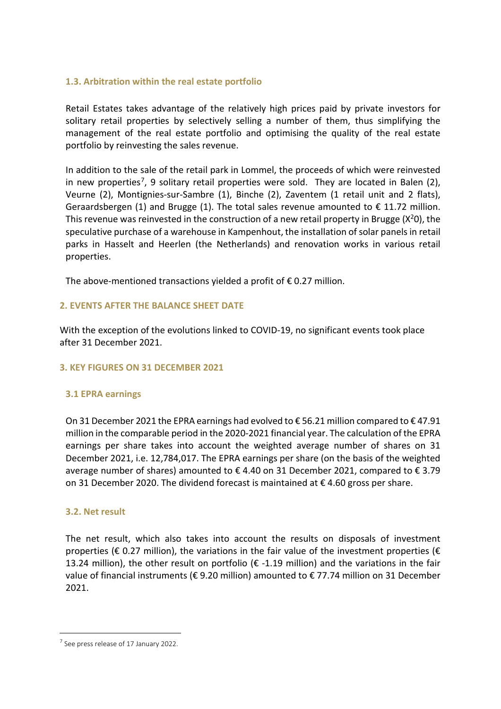### **1.3. Arbitration within the real estate portfolio**

Retail Estates takes advantage of the relatively high prices paid by private investors for solitary retail properties by selectively selling a number of them, thus simplifying the management of the real estate portfolio and optimising the quality of the real estate portfolio by reinvesting the sales revenue.

In addition to the sale of the retail park in Lommel, the proceeds of which were reinvested in new properties<sup>7</sup>, 9 solitary retail properties were sold. They are located in Balen (2), Veurne (2), Montignies-sur-Sambre (1), Binche (2), Zaventem (1 retail unit and 2 flats), Geraardsbergen (1) and Brugge (1). The total sales revenue amounted to  $\epsilon$  11.72 million. This revenue was reinvested in the construction of a new retail property in Brugge ( $X^2O$ ), the speculative purchase of a warehouse in Kampenhout, the installation of solar panels in retail parks in Hasselt and Heerlen (the Netherlands) and renovation works in various retail properties.

The above-mentioned transactions yielded a profit of  $\epsilon$  0.27 million.

### **2. EVENTS AFTER THE BALANCE SHEET DATE**

With the exception of the evolutions linked to COVID-19, no significant events took place after 31 December 2021.

### **3. KEY FIGURES ON 31 DECEMBER 2021**

### **3.1 EPRA earnings**

On 31 December 2021 the EPRA earnings had evolved to € 56.21 million compared to € 47.91 million in the comparable period in the 2020-2021 financial year. The calculation of the EPRA earnings per share takes into account the weighted average number of shares on 31 December 2021, i.e. 12,784,017. The EPRA earnings per share (on the basis of the weighted average number of shares) amounted to  $\epsilon$  4.40 on 31 December 2021, compared to  $\epsilon$  3.79 on 31 December 2020. The dividend forecast is maintained at  $\epsilon$  4.60 gross per share.

### **3.2. Net result**

The net result, which also takes into account the results on disposals of investment properties ( $\epsilon$  0.27 million), the variations in the fair value of the investment properties ( $\epsilon$ 13.24 million), the other result on portfolio ( $\epsilon$  -1.19 million) and the variations in the fair value of financial instruments (€ 9.20 million) amounted to € 77.74 million on 31 December 2021.

<span id="page-2-0"></span><sup>7</sup> See press release of 17 January 2022.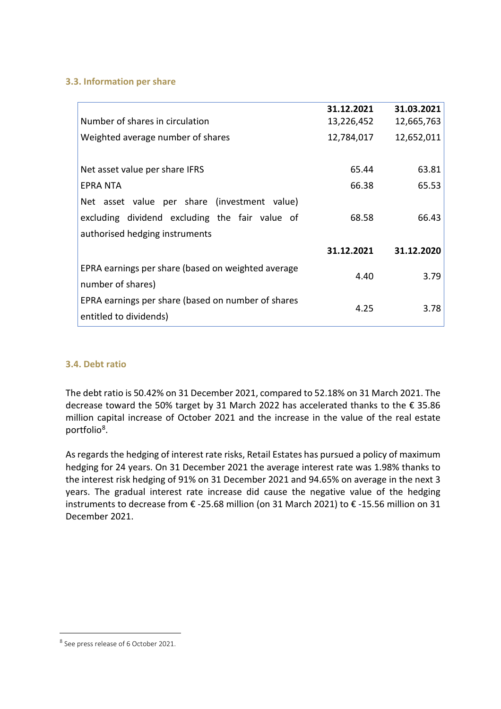### **3.3. Information per share**

|                                                    | 31.12.2021 | 31.03.2021 |
|----------------------------------------------------|------------|------------|
| Number of shares in circulation                    | 13,226,452 | 12,665,763 |
| Weighted average number of shares                  | 12,784,017 | 12,652,011 |
|                                                    |            |            |
| Net asset value per share IFRS                     | 65.44      | 63.81      |
| <b>EPRA NTA</b>                                    | 66.38      | 65.53      |
| Net asset value per share (investment value)       |            |            |
| excluding dividend excluding the fair value of     | 68.58      | 66.43      |
| authorised hedging instruments                     |            |            |
|                                                    | 31.12.2021 | 31.12.2020 |
| EPRA earnings per share (based on weighted average |            |            |
| number of shares)                                  | 4.40       | 3.79       |
| EPRA earnings per share (based on number of shares |            |            |
| entitled to dividends)                             | 4.25       | 3.78       |
|                                                    |            |            |

# **3.4. Debt ratio**

The debt ratio is 50.42% on 31 December 2021, compared to 52.18% on 31 March 2021. The decrease toward the 50% target by 31 March 2022 has accelerated thanks to the € 35.86 million capital increase of October 2021 and the increase in the value of the real estate portfolio[8](#page-3-0).

As regards the hedging of interest rate risks, Retail Estates has pursued a policy of maximum hedging for 24 years. On 31 December 2021 the average interest rate was 1.98% thanks to the interest risk hedging of 91% on 31 December 2021 and 94.65% on average in the next 3 years. The gradual interest rate increase did cause the negative value of the hedging instruments to decrease from € -25.68 million (on 31 March 2021) to € -15.56 million on 31 December 2021.

<span id="page-3-0"></span><sup>8</sup> See press release of 6 October 2021.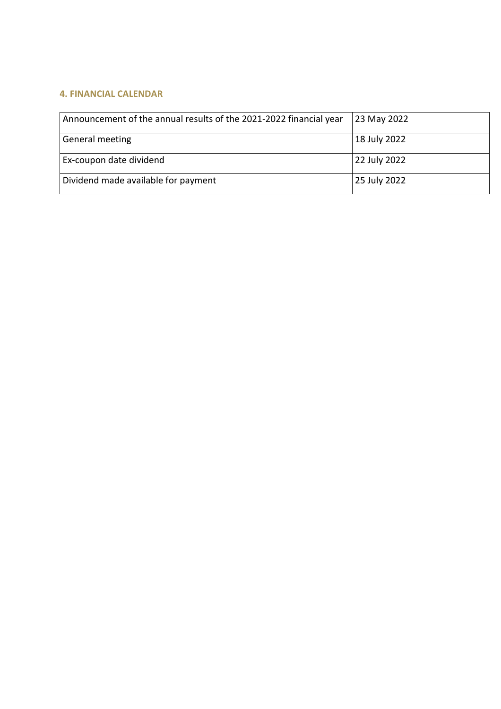# **4. FINANCIAL CALENDAR**

| Announcement of the annual results of the 2021-2022 financial year | 23 May 2022  |
|--------------------------------------------------------------------|--------------|
| General meeting                                                    | 18 July 2022 |
| Ex-coupon date dividend                                            | 22 July 2022 |
| Dividend made available for payment                                | 25 July 2022 |